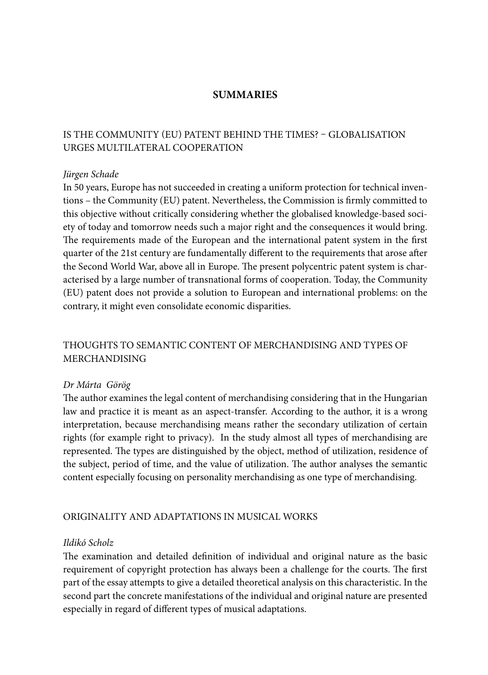## **SUMMARIES**

# IS THE COMMUNITY (EU) PATENT BEHIND THE TIMES? – GLOBALISATION URGES MULTILATERAL COOPERATION

## *Jürgen Schade*

In 50 years, Europe has not succeeded in creating a uniform protection for technical inventions – the Community (EU) patent. Nevertheless, the Commission is firmly committed to this objective without critically considering whether the globalised knowledge-based society of today and tomorrow needs such a major right and the consequences it would bring. The requirements made of the European and the international patent system in the first quarter of the 21st century are fundamentally different to the requirements that arose after the Second World War, above all in Europe. The present polycentric patent system is characterised by a large number of transnational forms of cooperation. Today, the Community (EU) patent does not provide a solution to European and international problems: on the contrary, it might even consolidate economic disparities.

# THOUGHTS TO SEMANTIC CONTENT OF MERCHANDISING AND TYPES OF MERCHANDISING

### *Dr Márta Görög*

The author examines the legal content of merchandising considering that in the Hungarian law and practice it is meant as an aspect-transfer. According to the author, it is a wrong interpretation, because merchandising means rather the secondary utilization of certain rights (for example right to privacy). In the study almost all types of merchandising are represented. The types are distinguished by the object, method of utilization, residence of the subject, period of time, and the value of utilization. The author analyses the semantic content especially focusing on personality merchandising as one type of merchandising.

## ORIGINALITY AND ADAPTATIONS IN MUSICAL WORKS

## *Ildikó Scholz*

The examination and detailed definition of individual and original nature as the basic requirement of copyright protection has always been a challenge for the courts. The first part of the essay attempts to give a detailed theoretical analysis on this characteristic. In the second part the concrete manifestations of the individual and original nature are presented especially in regard of different types of musical adaptations.